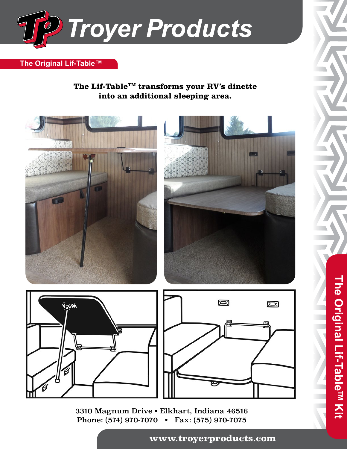

## **The Original Lif-Table™**

**The Lif-TableTM transforms your RV's dinette into an additional sleeping area.**



3310 Magnum Drive • Elkhart, Indiana 46516 Phone: (574) 970-7070 • Fax: (575) 970-7075

**www.troyerproducts.com (574) 970-7070 www.troyerproducts.com** 

**The Original Lif-TableTM Kit**

The Original Lif-Table™ Kit